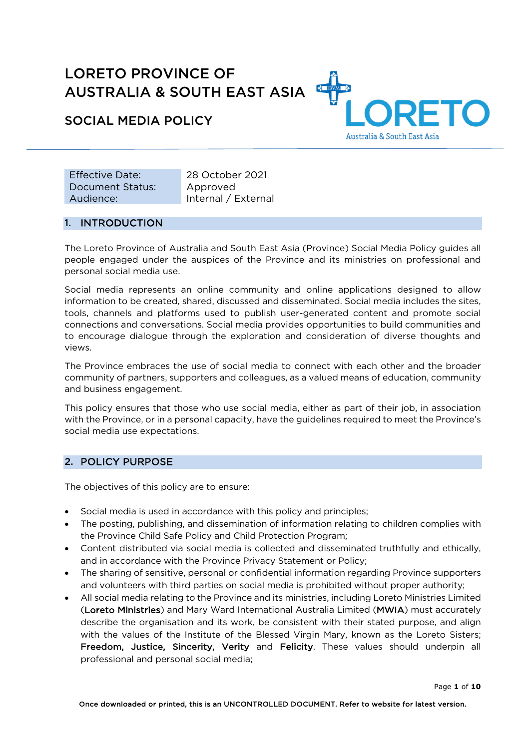# LORETO PROVINCE OF AUSTRALIA & SOUTH EAST ASIA



SOCIAL MEDIA POLICY

Effective Date: 28 October 2021 Document Status: Audience:

Approved Internal / External

## 1. INTRODUCTION

The Loreto Province of Australia and South East Asia (Province) Social Media Policy guides all people engaged under the auspices of the Province and its ministries on professional and personal social media use.

Social media represents an online community and online applications designed to allow information to be created, shared, discussed and disseminated. Social media includes the sites, tools, channels and platforms used to publish user-generated content and promote social connections and conversations. Social media provides opportunities to build communities and to encourage dialogue through the exploration and consideration of diverse thoughts and views.

The Province embraces the use of social media to connect with each other and the broader community of partners, supporters and colleagues, as a valued means of education, community and business engagement.

This policy ensures that those who use social media, either as part of their job, in association with the Province, or in a personal capacity, have the guidelines required to meet the Province's social media use expectations.

# 2. POLICY PURPOSE

The objectives of this policy are to ensure:

- Social media is used in accordance with this policy and principles;
- The posting, publishing, and dissemination of information relating to children complies with the Province Child Safe Policy and Child Protection Program;
- Content distributed via social media is collected and disseminated truthfully and ethically, and in accordance with the Province Privacy Statement or Policy;
- The sharing of sensitive, personal or confidential information regarding Province supporters and volunteers with third parties on social media is prohibited without proper authority;
- All social media relating to the Province and its ministries, including Loreto Ministries Limited (Loreto Ministries) and Mary Ward International Australia Limited (MWIA) must accurately describe the organisation and its work, be consistent with their stated purpose, and align with the values of the Institute of the Blessed Virgin Mary, known as the Loreto Sisters; Freedom, Justice, Sincerity, Verity and Felicity. These values should underpin all professional and personal social media;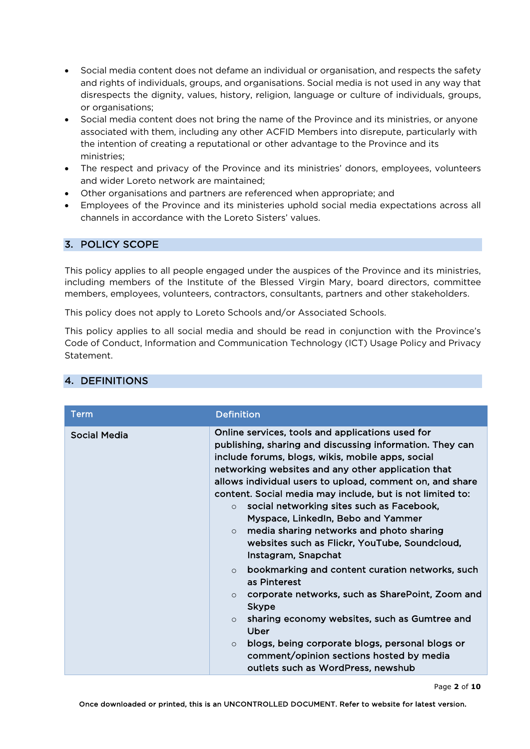- Social media content does not defame an individual or organisation, and respects the safety and rights of individuals, groups, and organisations. Social media is not used in any way that disrespects the dignity, values, history, religion, language or culture of individuals, groups, or organisations;
- Social media content does not bring the name of the Province and its ministries, or anyone associated with them, including any other ACFID Members into disrepute, particularly with the intention of creating a reputational or other advantage to the Province and its ministries;
- The respect and privacy of the Province and its ministries' donors, employees, volunteers and wider Loreto network are maintained;
- Other organisations and partners are referenced when appropriate; and
- Employees of the Province and its ministeries uphold social media expectations across all channels in accordance with the Loreto Sisters' values.

## 3. POLICY SCOPE

This policy applies to all people engaged under the auspices of the Province and its ministries, including members of the Institute of the Blessed Virgin Mary, board directors, committee members, employees, volunteers, contractors, consultants, partners and other stakeholders.

This policy does not apply to Loreto Schools and/or Associated Schools.

This policy applies to all social media and should be read in conjunction with the Province's Code of Conduct, Information and Communication Technology (ICT) Usage Policy and Privacy Statement.

| <b>Definition</b>                                                                                                                                                                                                                                                                                                                                                                                                                                                                                                                                                                                                                                                                                                                                                                                                                                                                                                                                                |
|------------------------------------------------------------------------------------------------------------------------------------------------------------------------------------------------------------------------------------------------------------------------------------------------------------------------------------------------------------------------------------------------------------------------------------------------------------------------------------------------------------------------------------------------------------------------------------------------------------------------------------------------------------------------------------------------------------------------------------------------------------------------------------------------------------------------------------------------------------------------------------------------------------------------------------------------------------------|
| Online services, tools and applications used for<br>publishing, sharing and discussing information. They can<br>include forums, blogs, wikis, mobile apps, social<br>networking websites and any other application that<br>allows individual users to upload, comment on, and share<br>content. Social media may include, but is not limited to:<br>social networking sites such as Facebook,<br>$\Omega$<br>Myspace, LinkedIn, Bebo and Yammer<br>media sharing networks and photo sharing<br>$\circ$<br>websites such as Flickr, YouTube, Soundcloud,<br>Instagram, Snapchat<br>bookmarking and content curation networks, such<br>$\circ$<br>as Pinterest<br>corporate networks, such as SharePoint, Zoom and<br>$\circ$<br><b>Skype</b><br>sharing economy websites, such as Gumtree and<br>$\Omega$<br>Uber<br>blogs, being corporate blogs, personal blogs or<br>$\circ$<br>comment/opinion sections hosted by media<br>outlets such as WordPress, newshub |
|                                                                                                                                                                                                                                                                                                                                                                                                                                                                                                                                                                                                                                                                                                                                                                                                                                                                                                                                                                  |

# 4. DEFINITIONS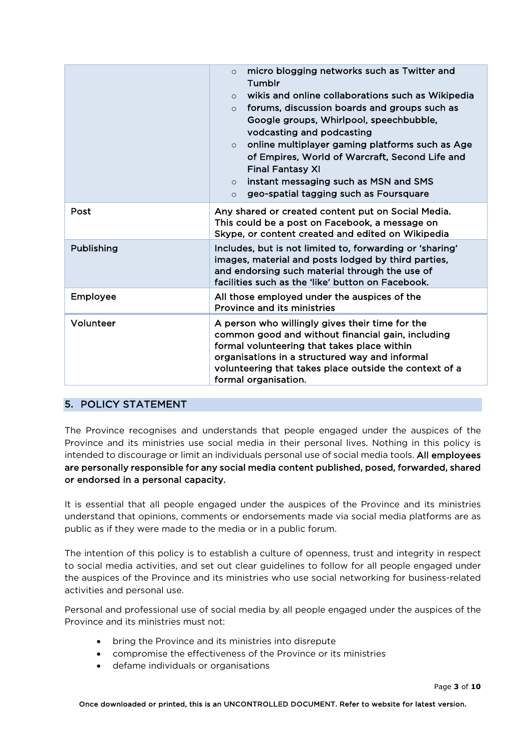|            | micro blogging networks such as Twitter and<br>$\Omega$<br>Tumblr<br>wikis and online collaborations such as Wikipedia<br>$\circ$<br>forums, discussion boards and groups such as<br>$\Omega$<br>Google groups, Whirlpool, speechbubble,<br>vodcasting and podcasting<br>online multiplayer gaming platforms such as Age<br>$\circ$<br>of Empires, World of Warcraft, Second Life and<br><b>Final Fantasy XI</b><br>instant messaging such as MSN and SMS<br>$\circ$<br>geo-spatial tagging such as Foursquare<br>$\circ$ |
|------------|---------------------------------------------------------------------------------------------------------------------------------------------------------------------------------------------------------------------------------------------------------------------------------------------------------------------------------------------------------------------------------------------------------------------------------------------------------------------------------------------------------------------------|
| Post       | Any shared or created content put on Social Media.<br>This could be a post on Facebook, a message on<br>Skype, or content created and edited on Wikipedia                                                                                                                                                                                                                                                                                                                                                                 |
| Publishing | Includes, but is not limited to, forwarding or 'sharing'<br>images, material and posts lodged by third parties,<br>and endorsing such material through the use of<br>facilities such as the 'like' button on Facebook.                                                                                                                                                                                                                                                                                                    |
| Employee   | All those employed under the auspices of the<br>Province and its ministries                                                                                                                                                                                                                                                                                                                                                                                                                                               |
| Volunteer  | A person who willingly gives their time for the<br>common good and without financial gain, including<br>formal volunteering that takes place within<br>organisations in a structured way and informal<br>volunteering that takes place outside the context of a<br>formal organisation.                                                                                                                                                                                                                                   |

# 5. POLICY STATEMENT

The Province recognises and understands that people engaged under the auspices of the Province and its ministries use social media in their personal lives. Nothing in this policy is intended to discourage or limit an individuals personal use of social media tools. All employees are personally responsible for any social media content published, posed, forwarded, shared or endorsed in a personal capacity.

It is essential that all people engaged under the auspices of the Province and its ministries understand that opinions, comments or endorsements made via social media platforms are as public as if they were made to the media or in a public forum.

The intention of this policy is to establish a culture of openness, trust and integrity in respect to social media activities, and set out clear guidelines to follow for all people engaged under the auspices of the Province and its ministries who use social networking for business-related activities and personal use.

Personal and professional use of social media by all people engaged under the auspices of the Province and its ministries must not:

- bring the Province and its ministries into disrepute
- compromise the effectiveness of the Province or its ministries
- defame individuals or organisations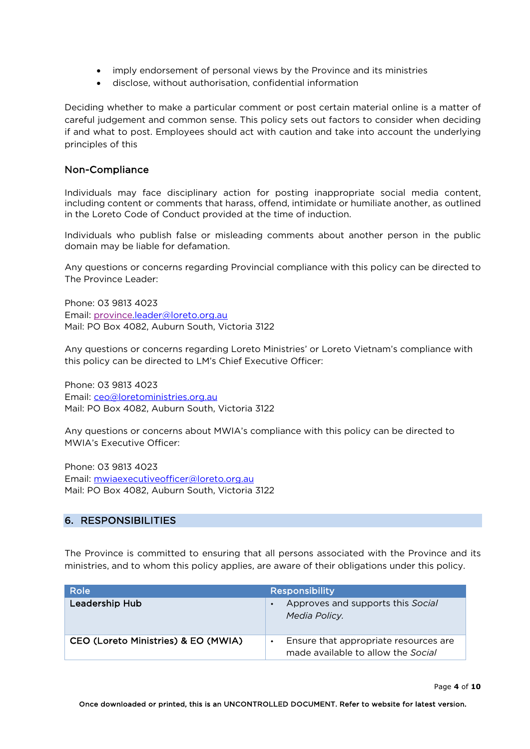- imply endorsement of personal views by the Province and its ministries
- disclose, without authorisation, confidential information

Deciding whether to make a particular comment or post certain material online is a matter of careful judgement and common sense. This policy sets out factors to consider when deciding if and what to post. Employees should act with caution and take into account the underlying principles of this

## Non-Compliance

Individuals may face disciplinary action for posting inappropriate social media content, including content or comments that harass, offend, intimidate or humiliate another, as outlined in the Loreto Code of Conduct provided at the time of induction.

Individuals who publish false or misleading comments about another person in the public domain may be liable for defamation.

Any questions or concerns regarding Provincial compliance with this policy can be directed to The Province Leader:

Phone: 03 9813 4023 Email: province.leader@loreto.org.au Mail: PO Box 4082, Auburn South, Victoria 3122

Any questions or concerns regarding Loreto Ministries' or Loreto Vietnam's compliance with this policy can be directed to LM's Chief Executive Officer:

Phone: 03 9813 4023 Email: ceo@loretoministries.org.au Mail: PO Box 4082, Auburn South, Victoria 3122

Any questions or concerns about MWIA's compliance with this policy can be directed to MWIA's Executive Officer:

Phone: 03 9813 4023 Email: mwiaexecutiveofficer@loreto.org.au Mail: PO Box 4082, Auburn South, Victoria 3122

# 6. RESPONSIBILITIES

The Province is committed to ensuring that all persons associated with the Province and its ministries, and to whom this policy applies, are aware of their obligations under this policy.

| Role                                | <b>Responsibility</b>                                                       |
|-------------------------------------|-----------------------------------------------------------------------------|
| <b>Leadership Hub</b>               | Approves and supports this Social<br>Media Policy.                          |
| CEO (Loreto Ministries) & EO (MWIA) | Ensure that appropriate resources are<br>made available to allow the Social |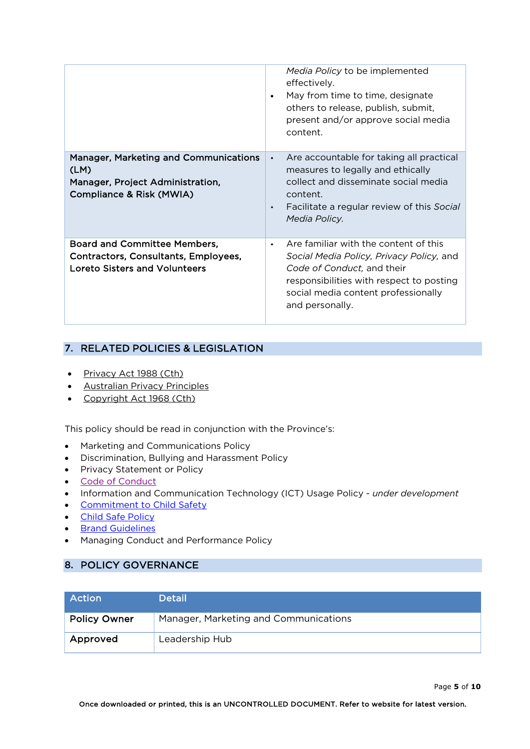|                                                                                                                      | Media Policy to be implemented<br>effectively.<br>May from time to time, designate<br>$\bullet$<br>others to release, publish, submit,<br>present and/or approve social media<br>content.                                          |
|----------------------------------------------------------------------------------------------------------------------|------------------------------------------------------------------------------------------------------------------------------------------------------------------------------------------------------------------------------------|
| <b>Manager, Marketing and Communications</b><br>(LM)<br>Manager, Project Administration,<br>Compliance & Risk (MWIA) | Are accountable for taking all practical<br>$\bullet$<br>measures to legally and ethically<br>collect and disseminate social media<br>content.<br>Facilitate a regular review of this Social<br>$\bullet$<br>Media Policy.         |
| <b>Board and Committee Members,</b><br>Contractors, Consultants, Employees,<br><b>Loreto Sisters and Volunteers</b>  | Are familiar with the content of this<br>$\bullet$<br>Social Media Policy, Privacy Policy, and<br>Code of Conduct, and their<br>responsibilities with respect to posting<br>social media content professionally<br>and personally. |

# 7. RELATED POLICIES & LEGISLATION

- Privacy Act 1988 (Cth)
- Australian Privacy Principles
- Copyright Act 1968 (Cth)

This policy should be read in conjunction with the Province's:

- Marketing and Communications Policy
- Discrimination, Bullying and Harassment Policy
- Privacy Statement or Policy
- Code of Conduct
- Information and Communication Technology (ICT) Usage Policy *under development*
- Commitment to Child Safety
- Child Safe Policy
- **Brand Guidelines**
- Managing Conduct and Performance Policy

# 8. POLICY GOVERNANCE

| l Action            | <b>Detail</b>                         |
|---------------------|---------------------------------------|
| <b>Policy Owner</b> | Manager, Marketing and Communications |
| Approved            | Leadership Hub                        |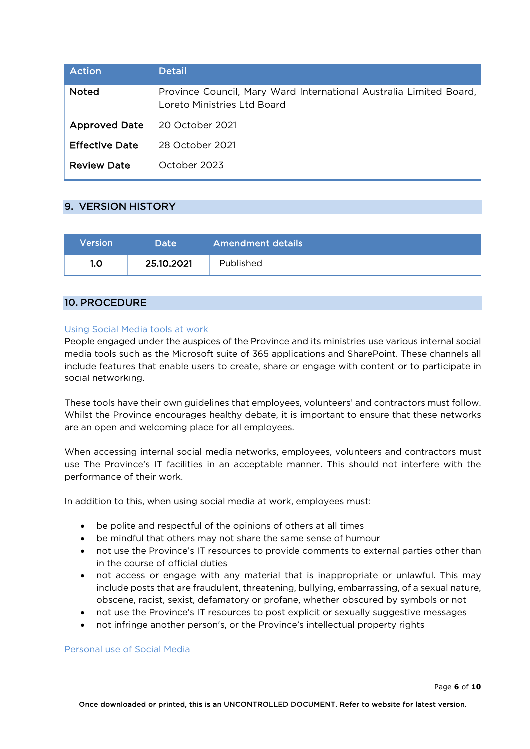| Action                | Detail                                                                                            |
|-----------------------|---------------------------------------------------------------------------------------------------|
| <b>Noted</b>          | Province Council, Mary Ward International Australia Limited Board,<br>Loreto Ministries Ltd Board |
| <b>Approved Date</b>  | 20 October 2021                                                                                   |
| <b>Effective Date</b> | 28 October 2021                                                                                   |
| <b>Review Date</b>    | October 2023                                                                                      |

## 9. VERSION HISTORY

| Version | 'Date      | <b>Amendment details</b> |
|---------|------------|--------------------------|
| 1.0     | 25.10.2021 | Published                |

## 10. PROCEDURE

## Using Social Media tools at work

People engaged under the auspices of the Province and its ministries use various internal social media tools such as the Microsoft suite of 365 applications and SharePoint. These channels all include features that enable users to create, share or engage with content or to participate in social networking.

These tools have their own guidelines that employees, volunteers' and contractors must follow. Whilst the Province encourages healthy debate, it is important to ensure that these networks are an open and welcoming place for all employees.

When accessing internal social media networks, employees, volunteers and contractors must use The Province's IT facilities in an acceptable manner. This should not interfere with the performance of their work.

In addition to this, when using social media at work, employees must:

- be polite and respectful of the opinions of others at all times
- be mindful that others may not share the same sense of humour
- not use the Province's IT resources to provide comments to external parties other than in the course of official duties
- not access or engage with any material that is inappropriate or unlawful. This may include posts that are fraudulent, threatening, bullying, embarrassing, of a sexual nature, obscene, racist, sexist, defamatory or profane, whether obscured by symbols or not
- not use the Province's IT resources to post explicit or sexually suggestive messages
- not infringe another person's, or the Province's intellectual property rights

## Personal use of Social Media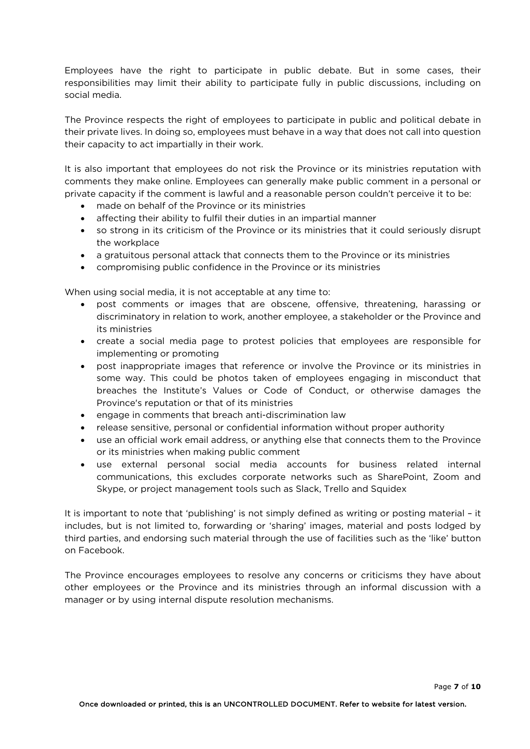Employees have the right to participate in public debate. But in some cases, their responsibilities may limit their ability to participate fully in public discussions, including on social media.

The Province respects the right of employees to participate in public and political debate in their private lives. In doing so, employees must behave in a way that does not call into question their capacity to act impartially in their work.

It is also important that employees do not risk the Province or its ministries reputation with comments they make online. Employees can generally make public comment in a personal or private capacity if the comment is lawful and a reasonable person couldn't perceive it to be:

- made on behalf of the Province or its ministries
- affecting their ability to fulfil their duties in an impartial manner
- so strong in its criticism of the Province or its ministries that it could seriously disrupt the workplace
- a gratuitous personal attack that connects them to the Province or its ministries
- compromising public confidence in the Province or its ministries

When using social media, it is not acceptable at any time to:

- post comments or images that are obscene, offensive, threatening, harassing or discriminatory in relation to work, another employee, a stakeholder or the Province and its ministries
- create a social media page to protest policies that employees are responsible for implementing or promoting
- post inappropriate images that reference or involve the Province or its ministries in some way. This could be photos taken of employees engaging in misconduct that breaches the Institute's Values or Code of Conduct, or otherwise damages the Province's reputation or that of its ministries
- engage in comments that breach anti-discrimination law
- release sensitive, personal or confidential information without proper authority
- use an official work email address, or anything else that connects them to the Province or its ministries when making public comment
- use external personal social media accounts for business related internal communications, this excludes corporate networks such as SharePoint, Zoom and Skype, or project management tools such as Slack, Trello and Squidex

It is important to note that 'publishing' is not simply defined as writing or posting material – it includes, but is not limited to, forwarding or 'sharing' images, material and posts lodged by third parties, and endorsing such material through the use of facilities such as the 'like' button on Facebook.

The Province encourages employees to resolve any concerns or criticisms they have about other employees or the Province and its ministries through an informal discussion with a manager or by using internal dispute resolution mechanisms.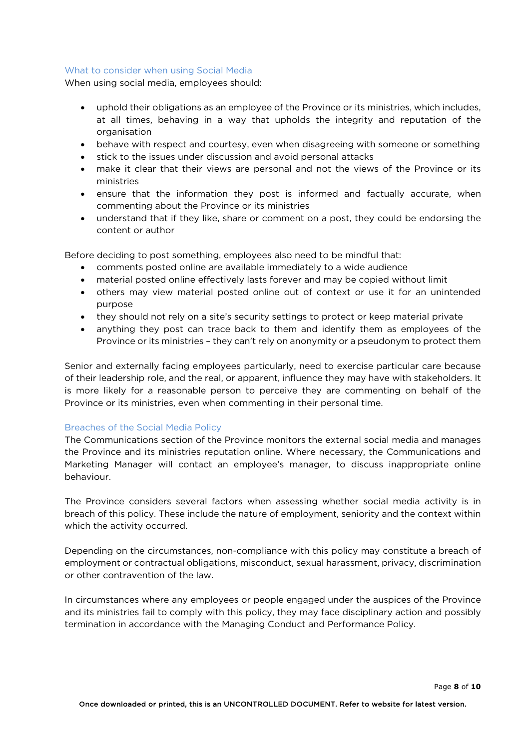#### What to consider when using Social Media

When using social media, employees should:

- uphold their obligations as an employee of the Province or its ministries, which includes, at all times, behaving in a way that upholds the integrity and reputation of the organisation
- behave with respect and courtesy, even when disagreeing with someone or something
- stick to the issues under discussion and avoid personal attacks
- make it clear that their views are personal and not the views of the Province or its ministries
- ensure that the information they post is informed and factually accurate, when commenting about the Province or its ministries
- understand that if they like, share or comment on a post, they could be endorsing the content or author

Before deciding to post something, employees also need to be mindful that:

- comments posted online are available immediately to a wide audience
- material posted online effectively lasts forever and may be copied without limit
- others may view material posted online out of context or use it for an unintended purpose
- they should not rely on a site's security settings to protect or keep material private
- anything they post can trace back to them and identify them as employees of the Province or its ministries – they can't rely on anonymity or a pseudonym to protect them

Senior and externally facing employees particularly, need to exercise particular care because of their leadership role, and the real, or apparent, influence they may have with stakeholders. It is more likely for a reasonable person to perceive they are commenting on behalf of the Province or its ministries, even when commenting in their personal time.

## Breaches of the Social Media Policy

The Communications section of the Province monitors the external social media and manages the Province and its ministries reputation online. Where necessary, the Communications and Marketing Manager will contact an employee's manager, to discuss inappropriate online behaviour.

The Province considers several factors when assessing whether social media activity is in breach of this policy. These include the nature of employment, seniority and the context within which the activity occurred.

Depending on the circumstances, non-compliance with this policy may constitute a breach of employment or contractual obligations, misconduct, sexual harassment, privacy, discrimination or other contravention of the law.

In circumstances where any employees or people engaged under the auspices of the Province and its ministries fail to comply with this policy, they may face disciplinary action and possibly termination in accordance with the Managing Conduct and Performance Policy.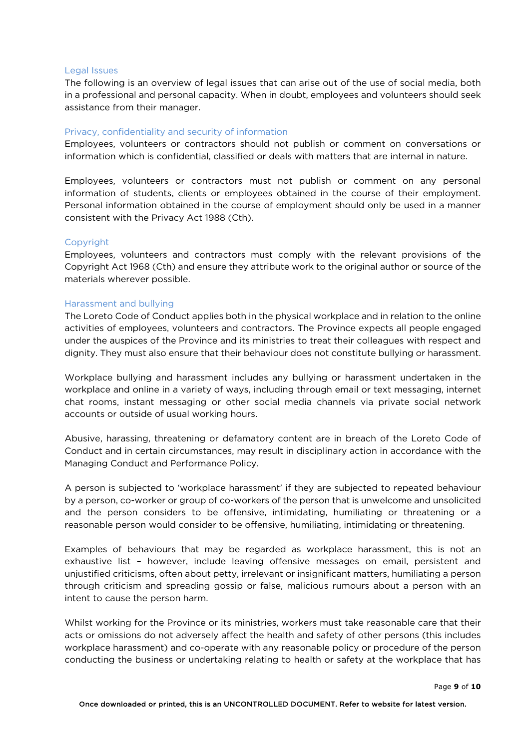#### Legal Issues

The following is an overview of legal issues that can arise out of the use of social media, both in a professional and personal capacity. When in doubt, employees and volunteers should seek assistance from their manager.

## Privacy, confidentiality and security of information

Employees, volunteers or contractors should not publish or comment on conversations or information which is confidential, classified or deals with matters that are internal in nature.

Employees, volunteers or contractors must not publish or comment on any personal information of students, clients or employees obtained in the course of their employment. Personal information obtained in the course of employment should only be used in a manner consistent with the Privacy Act 1988 (Cth).

## Copyright

Employees, volunteers and contractors must comply with the relevant provisions of the Copyright Act 1968 (Cth) and ensure they attribute work to the original author or source of the materials wherever possible.

#### Harassment and bullying

The Loreto Code of Conduct applies both in the physical workplace and in relation to the online activities of employees, volunteers and contractors. The Province expects all people engaged under the auspices of the Province and its ministries to treat their colleagues with respect and dignity. They must also ensure that their behaviour does not constitute bullying or harassment.

Workplace bullying and harassment includes any bullying or harassment undertaken in the workplace and online in a variety of ways, including through email or text messaging, internet chat rooms, instant messaging or other social media channels via private social network accounts or outside of usual working hours.

Abusive, harassing, threatening or defamatory content are in breach of the Loreto Code of Conduct and in certain circumstances, may result in disciplinary action in accordance with the Managing Conduct and Performance Policy.

A person is subjected to 'workplace harassment' if they are subjected to repeated behaviour by a person, co-worker or group of co-workers of the person that is unwelcome and unsolicited and the person considers to be offensive, intimidating, humiliating or threatening or a reasonable person would consider to be offensive, humiliating, intimidating or threatening.

Examples of behaviours that may be regarded as workplace harassment, this is not an exhaustive list – however, include leaving offensive messages on email, persistent and unjustified criticisms, often about petty, irrelevant or insignificant matters, humiliating a person through criticism and spreading gossip or false, malicious rumours about a person with an intent to cause the person harm.

Whilst working for the Province or its ministries, workers must take reasonable care that their acts or omissions do not adversely affect the health and safety of other persons (this includes workplace harassment) and co-operate with any reasonable policy or procedure of the person conducting the business or undertaking relating to health or safety at the workplace that has